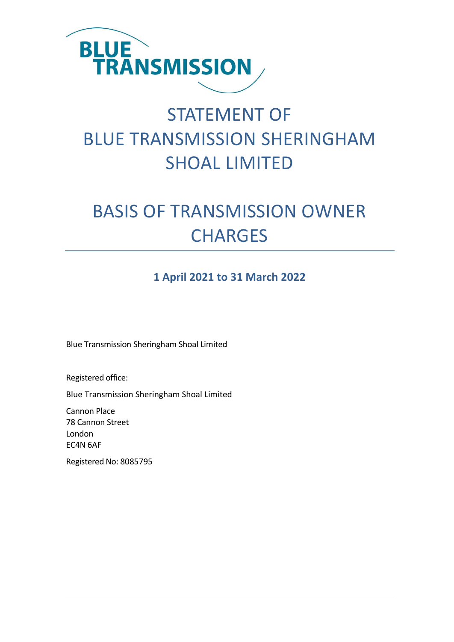

# STATEMENT OF BLUE TRANSMISSION SHERINGHAM SHOAL LIMITED

# BASIS OF TRANSMISSION OWNER **CHARGES**

### **1 April 2021 to 31 March 2022**

Blue Transmission Sheringham Shoal Limited

Registered office:

Blue Transmission Sheringham Shoal Limited

Cannon Place 78 Cannon Street London EC4N 6AF

Registered No: 8085795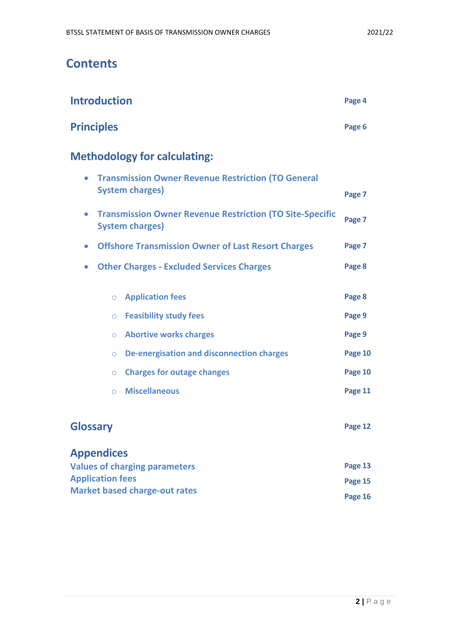**Market based charge-out rates**

### **Contents**

| <b>Introduction</b>                                                                                    | Page 4  |
|--------------------------------------------------------------------------------------------------------|---------|
| <b>Principles</b>                                                                                      | Page 6  |
| <b>Methodology for calculating:</b>                                                                    |         |
| <b>Transmission Owner Revenue Restriction (TO General</b><br>$\bullet$<br><b>System charges)</b>       | Page 7  |
| <b>Transmission Owner Revenue Restriction (TO Site-Specific</b><br>$\bullet$<br><b>System charges)</b> | Page 7  |
| <b>Offshore Transmission Owner of Last Resort Charges</b><br>$\bullet$                                 | Page 7  |
| <b>Other Charges - Excluded Services Charges</b><br>$\bullet$                                          | Page 8  |
| <b>Application fees</b><br>$\circ$                                                                     | Page 8  |
| <b>Feasibility study fees</b><br>$\circ$                                                               | Page 9  |
| <b>Abortive works charges</b><br>$\circ$                                                               | Page 9  |
| <b>De-energisation and disconnection charges</b><br>$\circ$                                            | Page 10 |
| <b>Charges for outage changes</b><br>$\circ$                                                           | Page 10 |
| <b>Miscellaneous</b><br>$\bigcirc$                                                                     | Page 11 |
| <b>Glossary</b>                                                                                        | Page 12 |
| <b>Appendices</b><br><b>Values of charging parameters</b>                                              | Page 13 |
| <b>Application fees</b>                                                                                | Page 15 |

**Page 16**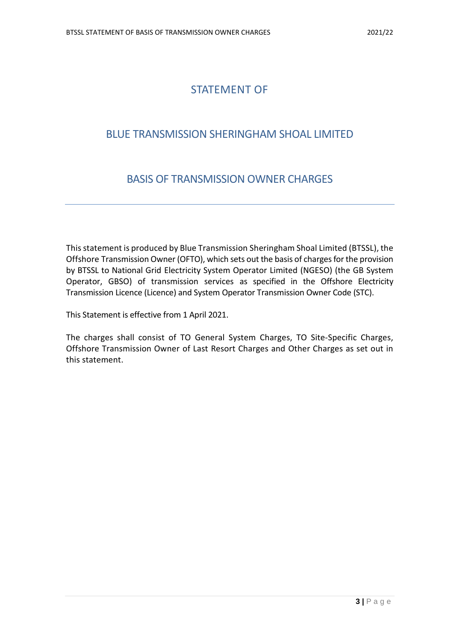### STATEMENT OF

### BLUE TRANSMISSION SHERINGHAM SHOAL LIMITED

### BASIS OF TRANSMISSION OWNER CHARGES

This statement is produced by Blue Transmission Sheringham Shoal Limited (BTSSL), the Offshore Transmission Owner (OFTO), which sets out the basis of charges for the provision by BTSSL to National Grid Electricity System Operator Limited (NGESO) (the GB System Operator, GBSO) of transmission services as specified in the Offshore Electricity Transmission Licence (Licence) and System Operator Transmission Owner Code (STC).

This Statement is effective from 1 April 2021.

The charges shall consist of TO General System Charges, TO Site-Specific Charges, Offshore Transmission Owner of Last Resort Charges and Other Charges as set out in this statement.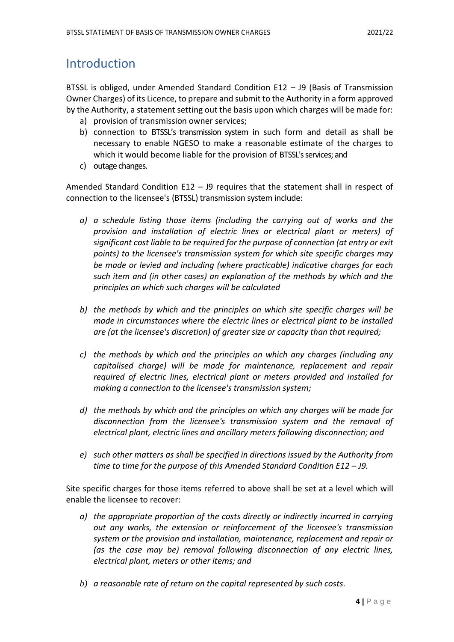### Introduction

BTSSL is obliged, under Amended Standard Condition E12 – J9 (Basis of Transmission Owner Charges) of its Licence, to prepare and submit to the Authority in a form approved by the Authority, a statement setting out the basis upon which charges will be made for:

- a) provision of transmission owner services;
- b) connection to BTSSL's transmission system in such form and detail as shall be necessary to enable NGESO to make a reasonable estimate of the charges to which it would become liable for the provision of BTSSL's services; and
- c) outage changes.

Amended Standard Condition E12 – J9 requires that the statement shall in respect of connection to the licensee's (BTSSL) transmission system include:

- *a) a schedule listing those items (including the carrying out of works and the provision and installation of electric lines or electrical plant or meters) of significant cost liable to be required for the purpose of connection (at entry or exit points) to the licensee's transmission system for which site specific charges may be made or levied and including (where practicable) indicative charges for each such item and (in other cases) an explanation of the methods by which and the principles on which such charges will be calculated*
- *b) the methods by which and the principles on which site specific charges will be made in circumstances where the electric lines or electrical plant to be installed are (at the licensee's discretion) of greater size or capacity than that required;*
- *c) the methods by which and the principles on which any charges (including any capitalised charge) will be made for maintenance, replacement and repair required of electric lines, electrical plant or meters provided and installed for making a connection to the licensee's transmission system;*
- *d) the methods by which and the principles on which any charges will be made for disconnection from the licensee's transmission system and the removal of electrical plant, electric lines and ancillary meters following disconnection; and*
- *e) such other matters as shall be specified in directions issued by the Authority from time to time for the purpose of this Amended Standard Condition E12 – J9.*

Site specific charges for those items referred to above shall be set at a level which will enable the licensee to recover:

- *a) the appropriate proportion of the costs directly or indirectly incurred in carrying out any works, the extension or reinforcement of the licensee's transmission system or the provision and installation, maintenance, replacement and repair or (as the case may be) removal following disconnection of any electric lines, electrical plant, meters or other items; and*
- *b) a reasonable rate of return on the capital represented by such costs.*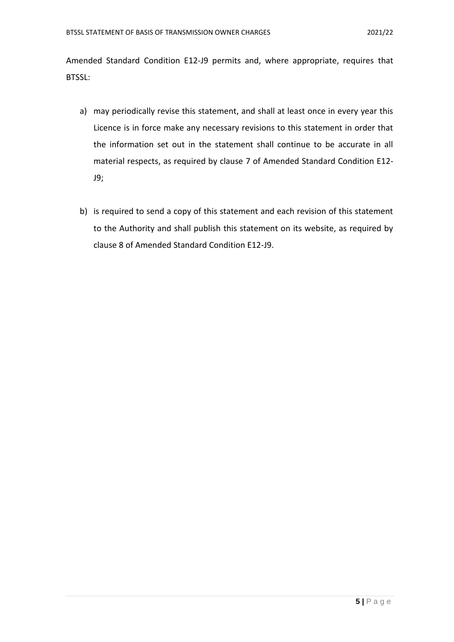Amended Standard Condition E12-J9 permits and, where appropriate, requires that BTSSL:

- a) may periodically revise this statement, and shall at least once in every year this Licence is in force make any necessary revisions to this statement in order that the information set out in the statement shall continue to be accurate in all material respects, as required by clause 7 of Amended Standard Condition E12- J9;
- b) is required to send a copy of this statement and each revision of this statement to the Authority and shall publish this statement on its website, as required by clause 8 of Amended Standard Condition E12-J9.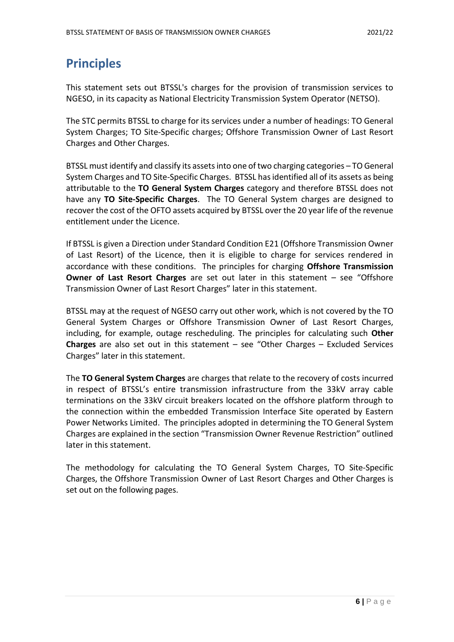## **Principles**

This statement sets out BTSSL's charges for the provision of transmission services to NGESO, in its capacity as National Electricity Transmission System Operator (NETSO).

The STC permits BTSSL to charge for its services under a number of headings: TO General System Charges; TO Site-Specific charges; Offshore Transmission Owner of Last Resort Charges and Other Charges.

BTSSL must identify and classify its assets into one of two charging categories – TO General System Charges and TO Site-Specific Charges. BTSSL has identified all of its assets as being attributable to the **TO General System Charges** category and therefore BTSSL does not have any **TO Site-Specific Charges**. The TO General System charges are designed to recover the cost of the OFTO assets acquired by BTSSL over the 20 year life of the revenue entitlement under the Licence.

If BTSSL is given a Direction under Standard Condition E21 (Offshore Transmission Owner of Last Resort) of the Licence, then it is eligible to charge for services rendered in accordance with these conditions. The principles for charging **Offshore Transmission Owner of Last Resort Charges** are set out later in this statement – see "Offshore Transmission Owner of Last Resort Charges" later in this statement.

BTSSL may at the request of NGESO carry out other work, which is not covered by the TO General System Charges or Offshore Transmission Owner of Last Resort Charges, including, for example, outage rescheduling. The principles for calculating such **Other Charges** are also set out in this statement – see "Other Charges – Excluded Services Charges" later in this statement.

The **TO General System Charges** are charges that relate to the recovery of costs incurred in respect of BTSSL's entire transmission infrastructure from the 33kV array cable terminations on the 33kV circuit breakers located on the offshore platform through to the connection within the embedded Transmission Interface Site operated by Eastern Power Networks Limited. The principles adopted in determining the TO General System Charges are explained in the section "Transmission Owner Revenue Restriction" outlined later in this statement.

The methodology for calculating the TO General System Charges, TO Site-Specific Charges, the Offshore Transmission Owner of Last Resort Charges and Other Charges is set out on the following pages.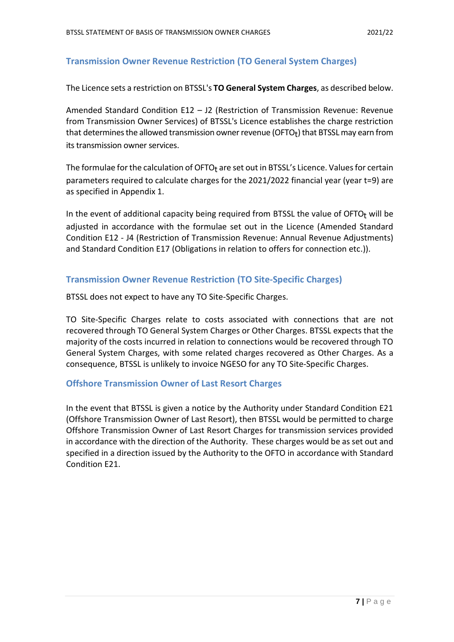#### **Transmission Owner Revenue Restriction (TO General System Charges)**

The Licence sets a restriction on BTSSL's **TO General System Charges**, as described below.

Amended Standard Condition E12 – J2 (Restriction of Transmission Revenue: Revenue from Transmission Owner Services) of BTSSL's Licence establishes the charge restriction that determines the allowed transmission owner revenue (OFTO $_{\rm t}$ ) that BTSSL may earn from its transmission owner services.

The formulae for the calculation of OFTO<sub>t</sub> are set out in BTSSL's Licence. Values for certain parameters required to calculate charges for the 2021/2022 financial year (year t=9) are as specified in Appendix 1.

In the event of additional capacity being required from BTSSL the value of OFTO $<sub>t</sub>$  will be</sub> adjusted in accordance with the formulae set out in the Licence (Amended Standard Condition E12 - J4 (Restriction of Transmission Revenue: Annual Revenue Adjustments) and Standard Condition E17 (Obligations in relation to offers for connection etc.)).

#### **Transmission Owner Revenue Restriction (TO Site-Specific Charges)**

BTSSL does not expect to have any TO Site-Specific Charges.

TO Site-Specific Charges relate to costs associated with connections that are not recovered through TO General System Charges or Other Charges. BTSSL expects that the majority of the costs incurred in relation to connections would be recovered through TO General System Charges, with some related charges recovered as Other Charges. As a consequence, BTSSL is unlikely to invoice NGESO for any TO Site-Specific Charges.

#### **Offshore Transmission Owner of Last Resort Charges**

In the event that BTSSL is given a notice by the Authority under Standard Condition E21 (Offshore Transmission Owner of Last Resort), then BTSSL would be permitted to charge Offshore Transmission Owner of Last Resort Charges for transmission services provided in accordance with the direction of the Authority. These charges would be as set out and specified in a direction issued by the Authority to the OFTO in accordance with Standard Condition E21.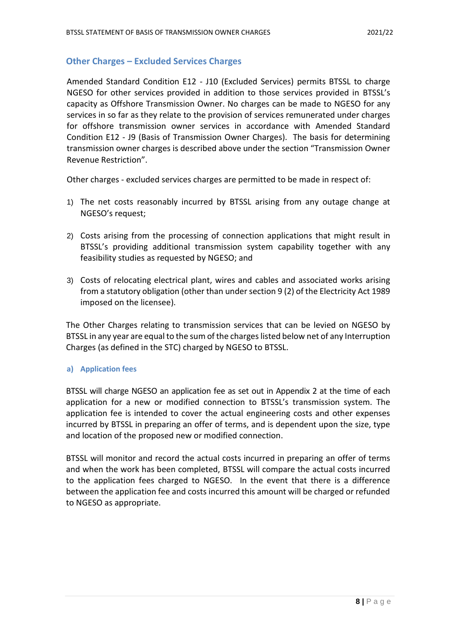#### **Other Charges – Excluded Services Charges**

Amended Standard Condition E12 - J10 (Excluded Services) permits BTSSL to charge NGESO for other services provided in addition to those services provided in BTSSL's capacity as Offshore Transmission Owner. No charges can be made to NGESO for any services in so far as they relate to the provision of services remunerated under charges for offshore transmission owner services in accordance with Amended Standard Condition E12 - J9 (Basis of Transmission Owner Charges). The basis for determining transmission owner charges is described above under the section "Transmission Owner Revenue Restriction".

Other charges - excluded services charges are permitted to be made in respect of:

- 1) The net costs reasonably incurred by BTSSL arising from any outage change at NGESO's request;
- 2) Costs arising from the processing of connection applications that might result in BTSSL's providing additional transmission system capability together with any feasibility studies as requested by NGESO; and
- 3) Costs of relocating electrical plant, wires and cables and associated works arising from a statutory obligation (other than under section 9 (2) of the Electricity Act 1989 imposed on the licensee).

The Other Charges relating to transmission services that can be levied on NGESO by BTSSL in any year are equal to the sum of the charges listed below net of any Interruption Charges (as defined in the STC) charged by NGESO to BTSSL.

#### **a) Application fees**

BTSSL will charge NGESO an application fee as set out in Appendix 2 at the time of each application for a new or modified connection to BTSSL's transmission system. The application fee is intended to cover the actual engineering costs and other expenses incurred by BTSSL in preparing an offer of terms, and is dependent upon the size, type and location of the proposed new or modified connection.

BTSSL will monitor and record the actual costs incurred in preparing an offer of terms and when the work has been completed, BTSSL will compare the actual costs incurred to the application fees charged to NGESO. In the event that there is a difference between the application fee and costs incurred this amount will be charged or refunded to NGESO as appropriate.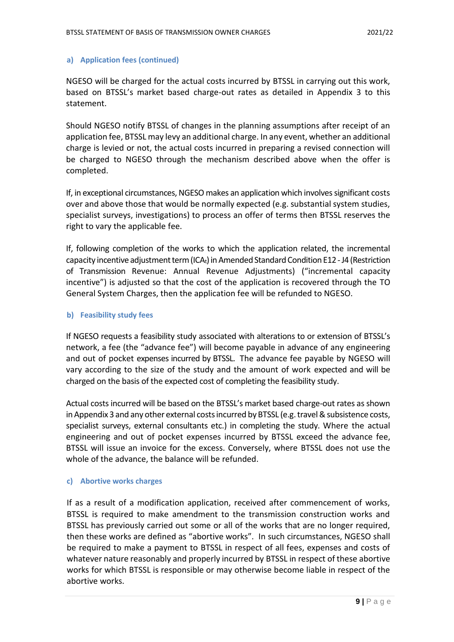#### **a) Application fees (continued)**

NGESO will be charged for the actual costs incurred by BTSSL in carrying out this work, based on BTSSL's market based charge-out rates as detailed in Appendix 3 to this statement.

Should NGESO notify BTSSL of changes in the planning assumptions after receipt of an application fee, BTSSL may levy an additional charge. In any event, whether an additional charge is levied or not, the actual costs incurred in preparing a revised connection will be charged to NGESO through the mechanism described above when the offer is completed.

If, in exceptional circumstances, NGESO makes an application which involves significant costs over and above those that would be normally expected (e.g. substantial system studies, specialist surveys, investigations) to process an offer of terms then BTSSL reserves the right to vary the applicable fee.

If, following completion of the works to which the application related, the incremental capacity incentive adjustment term (ICA<sub>t</sub>) in Amended Standard Condition E12 - J4 (Restriction of Transmission Revenue: Annual Revenue Adjustments) ("incremental capacity incentive") is adjusted so that the cost of the application is recovered through the TO General System Charges, then the application fee will be refunded to NGESO.

#### **b) Feasibility study fees**

If NGESO requests a feasibility study associated with alterations to or extension of BTSSL's network, a fee (the "advance fee") will become payable in advance of any engineering and out of pocket expenses incurred by BTSSL. The advance fee payable by NGESO will vary according to the size of the study and the amount of work expected and will be charged on the basis of the expected cost of completing the feasibility study.

Actual costs incurred will be based on the BTSSL's market based charge-out rates as shown in Appendix 3 and any other external costs incurred by BTSSL (e.g. travel & subsistence costs, specialist surveys, external consultants etc.) in completing the study. Where the actual engineering and out of pocket expenses incurred by BTSSL exceed the advance fee, BTSSL will issue an invoice for the excess. Conversely, where BTSSL does not use the whole of the advance, the balance will be refunded.

#### **c) Abortive works charges**

If as a result of a modification application, received after commencement of works, BTSSL is required to make amendment to the transmission construction works and BTSSL has previously carried out some or all of the works that are no longer required, then these works are defined as "abortive works". In such circumstances, NGESO shall be required to make a payment to BTSSL in respect of all fees, expenses and costs of whatever nature reasonably and properly incurred by BTSSL in respect of these abortive works for which BTSSL is responsible or may otherwise become liable in respect of the abortive works.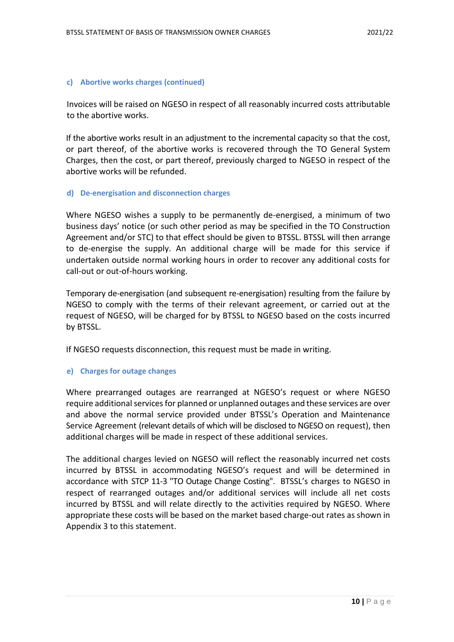#### **c) Abortive works charges (continued)**

Invoices will be raised on NGESO in respect of all reasonably incurred costs attributable to the abortive works.

If the abortive works result in an adjustment to the incremental capacity so that the cost, or part thereof, of the abortive works is recovered through the TO General System Charges, then the cost, or part thereof, previously charged to NGESO in respect of the abortive works will be refunded.

#### **d) De-energisation and disconnection charges**

Where NGESO wishes a supply to be permanently de-energised, a minimum of two business days' notice (or such other period as may be specified in the TO Construction Agreement and/or STC) to that effect should be given to BTSSL. BTSSL will then arrange to de-energise the supply. An additional charge will be made for this service if undertaken outside normal working hours in order to recover any additional costs for call-out or out-of-hours working.

Temporary de-energisation (and subsequent re-energisation) resulting from the failure by NGESO to comply with the terms of their relevant agreement, or carried out at the request of NGESO, will be charged for by BTSSL to NGESO based on the costs incurred by BTSSL.

If NGESO requests disconnection, this request must be made in writing.

#### **e) Charges for outage changes**

Where prearranged outages are rearranged at NGESO's request or where NGESO require additional services for planned or unplanned outages and these services are over and above the normal service provided under BTSSL's Operation and Maintenance Service Agreement (relevant details of which will be disclosed to NGESO on request), then additional charges will be made in respect of these additional services.

The additional charges levied on NGESO will reflect the reasonably incurred net costs incurred by BTSSL in accommodating NGESO's request and will be determined in accordance with STCP 11-3 "TO Outage Change Costing". BTSSL's charges to NGESO in respect of rearranged outages and/or additional services will include all net costs incurred by BTSSL and will relate directly to the activities required by NGESO. Where appropriate these costs will be based on the market based charge-out rates as shown in Appendix 3 to this statement.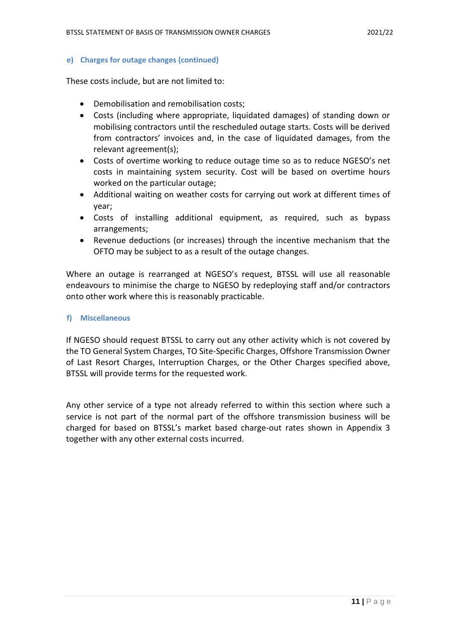#### **e) Charges for outage changes (continued)**

These costs include, but are not limited to:

- Demobilisation and remobilisation costs;
- Costs (including where appropriate, liquidated damages) of standing down or mobilising contractors until the rescheduled outage starts. Costs will be derived from contractors' invoices and, in the case of liquidated damages, from the relevant agreement(s);
- Costs of overtime working to reduce outage time so as to reduce NGESO's net costs in maintaining system security. Cost will be based on overtime hours worked on the particular outage;
- Additional waiting on weather costs for carrying out work at different times of year;
- Costs of installing additional equipment, as required, such as bypass arrangements;
- Revenue deductions (or increases) through the incentive mechanism that the OFTO may be subject to as a result of the outage changes.

Where an outage is rearranged at NGESO's request, BTSSL will use all reasonable endeavours to minimise the charge to NGESO by redeploying staff and/or contractors onto other work where this is reasonably practicable.

#### **f) Miscellaneous**

If NGESO should request BTSSL to carry out any other activity which is not covered by the TO General System Charges, TO Site-Specific Charges, Offshore Transmission Owner of Last Resort Charges, Interruption Charges, or the Other Charges specified above, BTSSL will provide terms for the requested work.

Any other service of a type not already referred to within this section where such a service is not part of the normal part of the offshore transmission business will be charged for based on BTSSL's market based charge-out rates shown in Appendix 3 together with any other external costs incurred.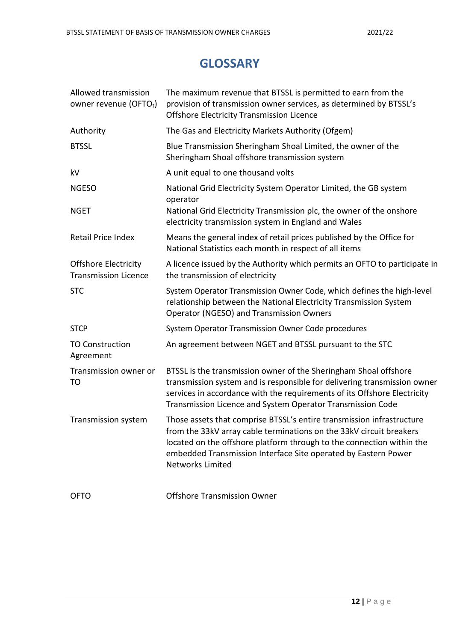## **GLOSSARY**

| Allowed transmission<br>owner revenue (OFTOt)              | The maximum revenue that BTSSL is permitted to earn from the<br>provision of transmission owner services, as determined by BTSSL's<br><b>Offshore Electricity Transmission Licence</b>                                                                                                                             |
|------------------------------------------------------------|--------------------------------------------------------------------------------------------------------------------------------------------------------------------------------------------------------------------------------------------------------------------------------------------------------------------|
| Authority                                                  | The Gas and Electricity Markets Authority (Ofgem)                                                                                                                                                                                                                                                                  |
| <b>BTSSL</b>                                               | Blue Transmission Sheringham Shoal Limited, the owner of the<br>Sheringham Shoal offshore transmission system                                                                                                                                                                                                      |
| kV                                                         | A unit equal to one thousand volts                                                                                                                                                                                                                                                                                 |
| <b>NGESO</b>                                               | National Grid Electricity System Operator Limited, the GB system<br>operator                                                                                                                                                                                                                                       |
| <b>NGET</b>                                                | National Grid Electricity Transmission plc, the owner of the onshore<br>electricity transmission system in England and Wales                                                                                                                                                                                       |
| Retail Price Index                                         | Means the general index of retail prices published by the Office for<br>National Statistics each month in respect of all items                                                                                                                                                                                     |
| <b>Offshore Electricity</b><br><b>Transmission Licence</b> | A licence issued by the Authority which permits an OFTO to participate in<br>the transmission of electricity                                                                                                                                                                                                       |
| <b>STC</b>                                                 | System Operator Transmission Owner Code, which defines the high-level<br>relationship between the National Electricity Transmission System<br><b>Operator (NGESO) and Transmission Owners</b>                                                                                                                      |
| <b>STCP</b>                                                | System Operator Transmission Owner Code procedures                                                                                                                                                                                                                                                                 |
| <b>TO Construction</b><br>Agreement                        | An agreement between NGET and BTSSL pursuant to the STC                                                                                                                                                                                                                                                            |
| Transmission owner or<br>TO                                | BTSSL is the transmission owner of the Sheringham Shoal offshore<br>transmission system and is responsible for delivering transmission owner<br>services in accordance with the requirements of its Offshore Electricity<br>Transmission Licence and System Operator Transmission Code                             |
| Transmission system                                        | Those assets that comprise BTSSL's entire transmission infrastructure<br>from the 33kV array cable terminations on the 33kV circuit breakers<br>located on the offshore platform through to the connection within the<br>embedded Transmission Interface Site operated by Eastern Power<br><b>Networks Limited</b> |
| <b>OFTO</b>                                                | <b>Offshore Transmission Owner</b>                                                                                                                                                                                                                                                                                 |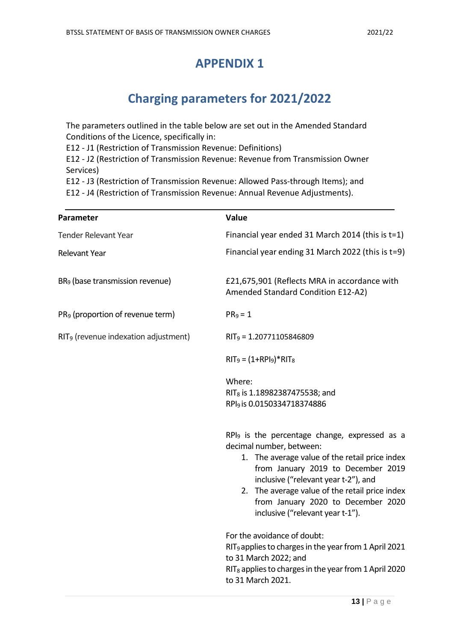### **APPENDIX 1**

# **Charging parameters for 2021/2022**

The parameters outlined in the table below are set out in the Amended Standard Conditions of the Licence, specifically in:

E12 - J1 (Restriction of Transmission Revenue: Definitions)

E12 - J2 (Restriction of Transmission Revenue: Revenue from Transmission Owner Services)

E12 - J3 (Restriction of Transmission Revenue: Allowed Pass-through Items); and

E12 - J4 (Restriction of Transmission Revenue: Annual Revenue Adjustments).

| Parameter                                        | Value                                                                                                                                                                                                                                                                                                                                             |
|--------------------------------------------------|---------------------------------------------------------------------------------------------------------------------------------------------------------------------------------------------------------------------------------------------------------------------------------------------------------------------------------------------------|
| <b>Tender Relevant Year</b>                      | Financial year ended 31 March 2014 (this is t=1)                                                                                                                                                                                                                                                                                                  |
| <b>Relevant Year</b>                             | Financial year ending 31 March 2022 (this is t=9)                                                                                                                                                                                                                                                                                                 |
| BR <sub>9</sub> (base transmission revenue)      | £21,675,901 (Reflects MRA in accordance with<br>Amended Standard Condition E12-A2)                                                                                                                                                                                                                                                                |
| PR <sub>9</sub> (proportion of revenue term)     | $PR_9 = 1$                                                                                                                                                                                                                                                                                                                                        |
| RIT <sub>9</sub> (revenue indexation adjustment) | $RIT_9 = 1.20771105846809$                                                                                                                                                                                                                                                                                                                        |
|                                                  | $RIT_9 = (1+RPI_9)*RIT_8$                                                                                                                                                                                                                                                                                                                         |
|                                                  | Where:                                                                                                                                                                                                                                                                                                                                            |
|                                                  | RIT <sub>8</sub> is 1.18982387475538; and                                                                                                                                                                                                                                                                                                         |
|                                                  | RPI <sub>9</sub> is 0.0150334718374886                                                                                                                                                                                                                                                                                                            |
|                                                  | RPI <sub>9</sub> is the percentage change, expressed as a<br>decimal number, between:<br>1. The average value of the retail price index<br>from January 2019 to December 2019<br>inclusive ("relevant year t-2"), and<br>2. The average value of the retail price index<br>from January 2020 to December 2020<br>inclusive ("relevant year t-1"). |
|                                                  | For the avoidance of doubt:<br>RIT <sub>9</sub> applies to charges in the year from 1 April 2021<br>to 31 March 2022; and<br>RIT <sub>8</sub> applies to charges in the year from 1 April 2020<br>to 31 March 2021.                                                                                                                               |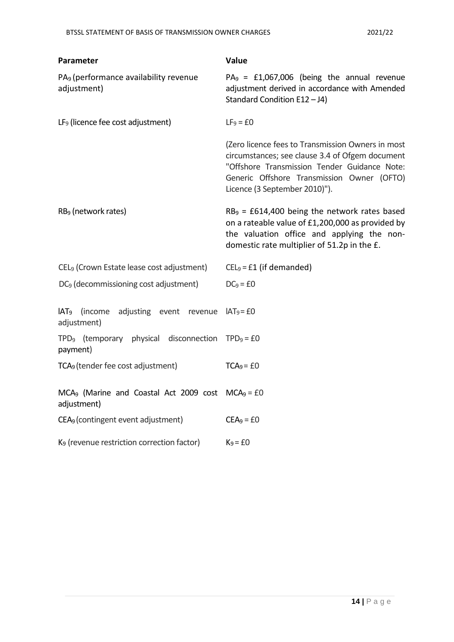| Parameter                                                           | Value                                                                                                                                                                                                                               |
|---------------------------------------------------------------------|-------------------------------------------------------------------------------------------------------------------------------------------------------------------------------------------------------------------------------------|
| PA <sub>9</sub> (performance availability revenue<br>adjustment)    | $PA_9$ = £1,067,006 (being the annual revenue<br>adjustment derived in accordance with Amended<br>Standard Condition E12-J4)                                                                                                        |
| LF <sub>9</sub> (licence fee cost adjustment)                       | $LF9 = £0$                                                                                                                                                                                                                          |
|                                                                     | (Zero licence fees to Transmission Owners in most<br>circumstances; see clause 3.4 of Ofgem document<br>"Offshore Transmission Tender Guidance Note:<br>Generic Offshore Transmission Owner (OFTO)<br>Licence (3 September 2010)"). |
| RB <sub>9</sub> (network rates)                                     | $RB9 = £614,400$ being the network rates based<br>on a rateable value of £1,200,000 as provided by<br>the valuation office and applying the non-<br>domestic rate multiplier of 51.2p in the £.                                     |
| CEL <sub>9</sub> (Crown Estate lease cost adjustment)               | $CEL9 = £1$ (if demanded)                                                                                                                                                                                                           |
| DC <sub>9</sub> (decommissioning cost adjustment)                   | $DC_9 = £0$                                                                                                                                                                                                                         |
| IAT <sub>9</sub> (income<br>adjusting event revenue<br>adjustment)  | $IAT9=f0$                                                                                                                                                                                                                           |
| TPD <sub>9</sub> (temporary physical disconnection<br>payment)      | $TPD9 = £0$                                                                                                                                                                                                                         |
| TCA <sub>9</sub> (tender fee cost adjustment)                       | $TCA9 = £0$                                                                                                                                                                                                                         |
| $MCA9$ (Marine and Coastal Act 2009 cost $MCA9 = £0$<br>adjustment) |                                                                                                                                                                                                                                     |
| CEA <sub>9</sub> (contingent event adjustment)                      | $CEA9 = £0$                                                                                                                                                                                                                         |
| K <sub>9</sub> (revenue restriction correction factor)              | $K_9 = £0$                                                                                                                                                                                                                          |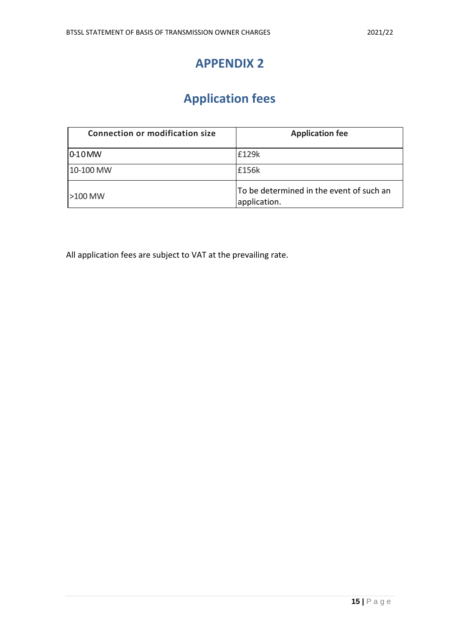### **APPENDIX 2**

# **Application fees**

| <b>Connection or modification size</b> | <b>Application fee</b>                                   |
|----------------------------------------|----------------------------------------------------------|
| $10-10$ MW                             | £129k                                                    |
| 10-100 MW                              | £156k                                                    |
| $>100$ MW                              | To be determined in the event of such an<br>application. |

All application fees are subject to VAT at the prevailing rate.